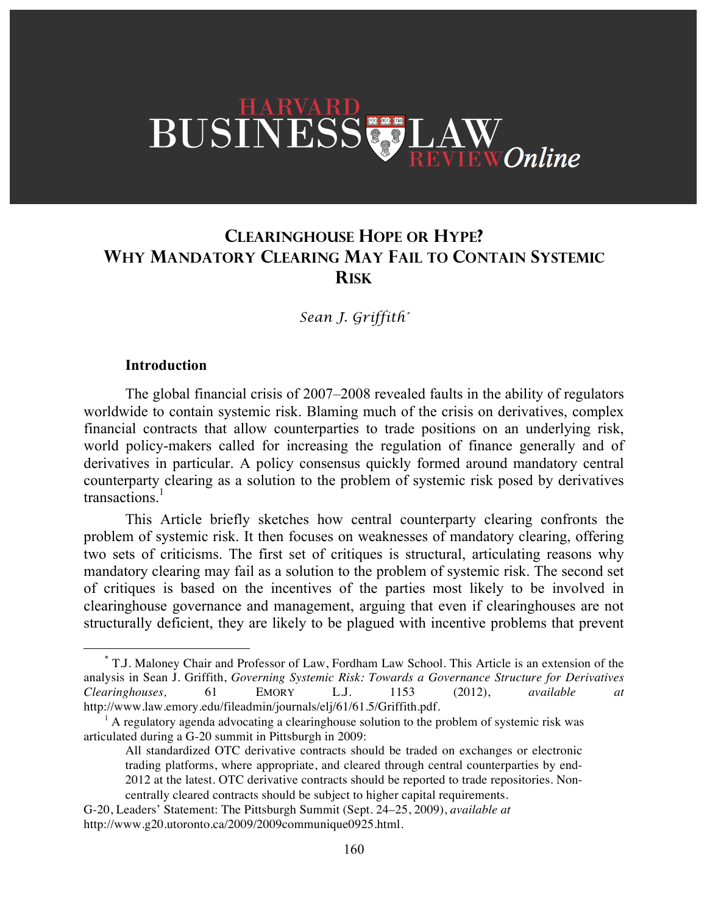# BUSINESS LA **Online**

## **CLEARINGHOUSE HOPE OR HYPE? WHY MANDATORY CLEARING MAY FAIL TO CONTAIN SYSTEMIC RISK**

*Sean J. Griffith\**

#### **Introduction**

The global financial crisis of 2007–2008 revealed faults in the ability of regulators worldwide to contain systemic risk. Blaming much of the crisis on derivatives, complex financial contracts that allow counterparties to trade positions on an underlying risk, world policy-makers called for increasing the regulation of finance generally and of derivatives in particular. A policy consensus quickly formed around mandatory central counterparty clearing as a solution to the problem of systemic risk posed by derivatives transactions. 1

This Article briefly sketches how central counterparty clearing confronts the problem of systemic risk. It then focuses on weaknesses of mandatory clearing, offering two sets of criticisms. The first set of critiques is structural, articulating reasons why mandatory clearing may fail as a solution to the problem of systemic risk. The second set of critiques is based on the incentives of the parties most likely to be involved in clearinghouse governance and management, arguing that even if clearinghouses are not structurally deficient, they are likely to be plagued with incentive problems that prevent

 <sup>\*</sup> T.J. Maloney Chair and Professor of Law, Fordham Law School. This Article is an extension of the analysis in Sean J. Griffith, *Governing Systemic Risk: Towards a Governance Structure for Derivatives Clearinghouses,* 61 EMORY L.J. 1153 (2012), *available at* http://www.law.emory.edu/fileadmin/journals/elj/61/61.5/Griffith.pdf.

 $<sup>1</sup>$  A regulatory agenda advocating a clearinghouse solution to the problem of systemic risk was</sup> articulated during a G-20 summit in Pittsburgh in 2009:

All standardized OTC derivative contracts should be traded on exchanges or electronic trading platforms, where appropriate, and cleared through central counterparties by end-2012 at the latest. OTC derivative contracts should be reported to trade repositories. Noncentrally cleared contracts should be subject to higher capital requirements.

G-20, Leaders' Statement: The Pittsburgh Summit (Sept. 24–25, 2009), *available at* http://www.g20.utoronto.ca/2009/2009communique0925.html.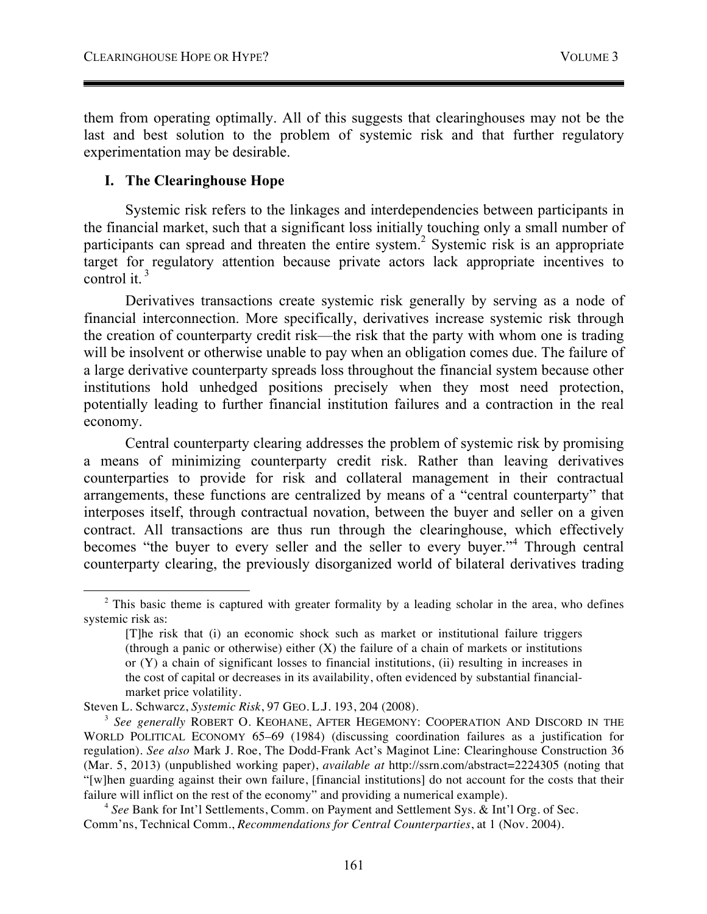them from operating optimally. All of this suggests that clearinghouses may not be the last and best solution to the problem of systemic risk and that further regulatory experimentation may be desirable.

## **I. The Clearinghouse Hope**

Systemic risk refers to the linkages and interdependencies between participants in the financial market, such that a significant loss initially touching only a small number of participants can spread and threaten the entire system.<sup>2</sup> Systemic risk is an appropriate target for regulatory attention because private actors lack appropriate incentives to control it. <sup>3</sup>

Derivatives transactions create systemic risk generally by serving as a node of financial interconnection. More specifically, derivatives increase systemic risk through the creation of counterparty credit risk—the risk that the party with whom one is trading will be insolvent or otherwise unable to pay when an obligation comes due. The failure of a large derivative counterparty spreads loss throughout the financial system because other institutions hold unhedged positions precisely when they most need protection, potentially leading to further financial institution failures and a contraction in the real economy.

Central counterparty clearing addresses the problem of systemic risk by promising a means of minimizing counterparty credit risk. Rather than leaving derivatives counterparties to provide for risk and collateral management in their contractual arrangements, these functions are centralized by means of a "central counterparty" that interposes itself, through contractual novation, between the buyer and seller on a given contract. All transactions are thus run through the clearinghouse, which effectively becomes "the buyer to every seller and the seller to every buyer."<sup>4</sup> Through central counterparty clearing, the previously disorganized world of bilateral derivatives trading

 $2$  This basic theme is captured with greater formality by a leading scholar in the area, who defines systemic risk as:

<sup>[</sup>T]he risk that (i) an economic shock such as market or institutional failure triggers (through a panic or otherwise) either  $(X)$  the failure of a chain of markets or institutions or (Y) a chain of significant losses to financial institutions, (ii) resulting in increases in the cost of capital or decreases in its availability, often evidenced by substantial financialmarket price volatility.

Steven L. Schwarcz, *Systemic Risk*, 97 GEO. L.J. 193, 204 (2008).

<sup>3</sup> *See generally* ROBERT O. KEOHANE, AFTER HEGEMONY: COOPERATION AND DISCORD IN THE WORLD POLITICAL ECONOMY 65–69 (1984) (discussing coordination failures as a justification for regulation). *See also* Mark J. Roe, The Dodd-Frank Act's Maginot Line: Clearinghouse Construction 36 (Mar. 5, 2013) (unpublished working paper), *available at* http://ssrn.com/abstract=2224305 (noting that "[w]hen guarding against their own failure, [financial institutions] do not account for the costs that their failure will inflict on the rest of the economy" and providing a numerical example).

<sup>4</sup> *See* Bank for Int'l Settlements, Comm. on Payment and Settlement Sys. & Int'l Org. of Sec. Comm'ns, Technical Comm., *Recommendations for Central Counterparties*, at 1 (Nov. 2004).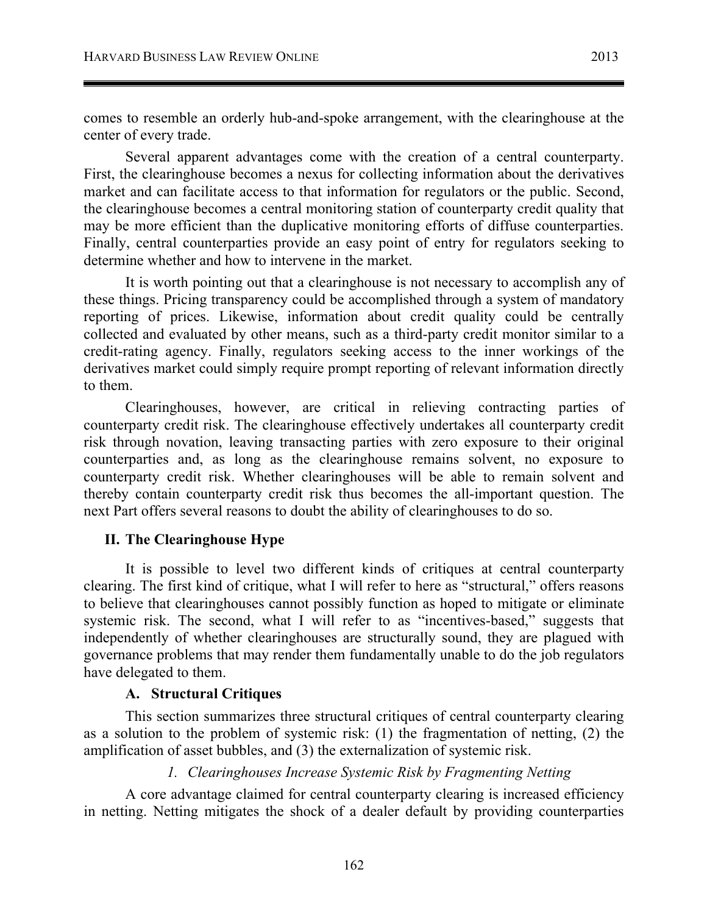comes to resemble an orderly hub-and-spoke arrangement, with the clearinghouse at the center of every trade.

Several apparent advantages come with the creation of a central counterparty. First, the clearinghouse becomes a nexus for collecting information about the derivatives market and can facilitate access to that information for regulators or the public. Second, the clearinghouse becomes a central monitoring station of counterparty credit quality that may be more efficient than the duplicative monitoring efforts of diffuse counterparties. Finally, central counterparties provide an easy point of entry for regulators seeking to determine whether and how to intervene in the market.

It is worth pointing out that a clearinghouse is not necessary to accomplish any of these things. Pricing transparency could be accomplished through a system of mandatory reporting of prices. Likewise, information about credit quality could be centrally collected and evaluated by other means, such as a third-party credit monitor similar to a credit-rating agency. Finally, regulators seeking access to the inner workings of the derivatives market could simply require prompt reporting of relevant information directly to them.

Clearinghouses, however, are critical in relieving contracting parties of counterparty credit risk. The clearinghouse effectively undertakes all counterparty credit risk through novation, leaving transacting parties with zero exposure to their original counterparties and, as long as the clearinghouse remains solvent, no exposure to counterparty credit risk. Whether clearinghouses will be able to remain solvent and thereby contain counterparty credit risk thus becomes the all-important question. The next Part offers several reasons to doubt the ability of clearinghouses to do so.

## **II. The Clearinghouse Hype**

It is possible to level two different kinds of critiques at central counterparty clearing. The first kind of critique, what I will refer to here as "structural," offers reasons to believe that clearinghouses cannot possibly function as hoped to mitigate or eliminate systemic risk. The second, what I will refer to as "incentives-based," suggests that independently of whether clearinghouses are structurally sound, they are plagued with governance problems that may render them fundamentally unable to do the job regulators have delegated to them.

## **A. Structural Critiques**

This section summarizes three structural critiques of central counterparty clearing as a solution to the problem of systemic risk: (1) the fragmentation of netting, (2) the amplification of asset bubbles, and (3) the externalization of systemic risk.

## *1. Clearinghouses Increase Systemic Risk by Fragmenting Netting*

A core advantage claimed for central counterparty clearing is increased efficiency in netting. Netting mitigates the shock of a dealer default by providing counterparties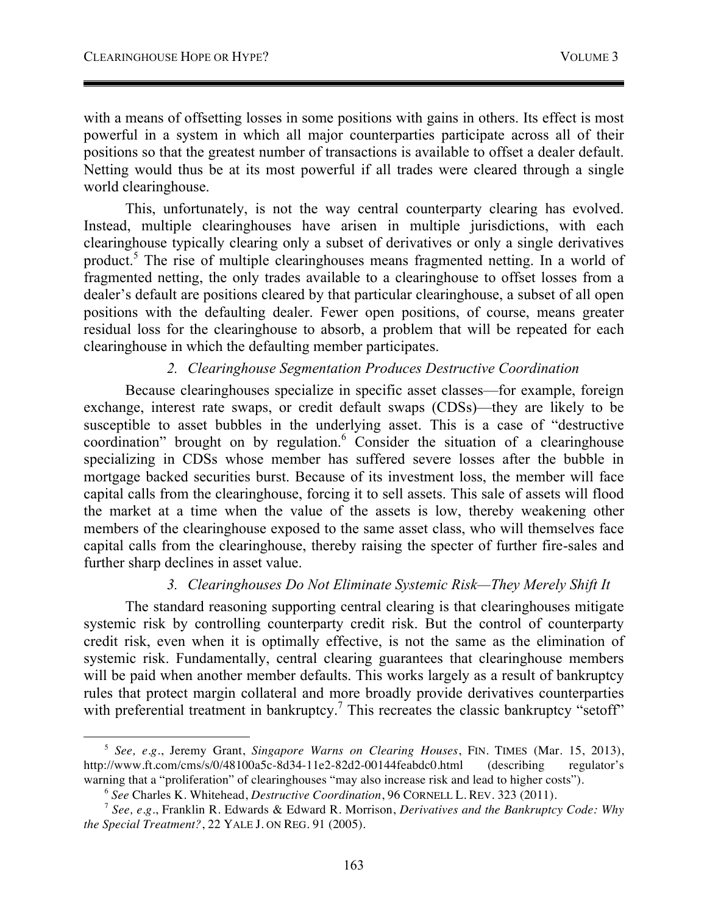with a means of offsetting losses in some positions with gains in others. Its effect is most powerful in a system in which all major counterparties participate across all of their positions so that the greatest number of transactions is available to offset a dealer default. Netting would thus be at its most powerful if all trades were cleared through a single world clearinghouse.

This, unfortunately, is not the way central counterparty clearing has evolved. Instead, multiple clearinghouses have arisen in multiple jurisdictions, with each clearinghouse typically clearing only a subset of derivatives or only a single derivatives product.<sup>5</sup> The rise of multiple clearinghouses means fragmented netting. In a world of fragmented netting, the only trades available to a clearinghouse to offset losses from a dealer's default are positions cleared by that particular clearinghouse, a subset of all open positions with the defaulting dealer. Fewer open positions, of course, means greater residual loss for the clearinghouse to absorb, a problem that will be repeated for each clearinghouse in which the defaulting member participates.

## *2. Clearinghouse Segmentation Produces Destructive Coordination*

Because clearinghouses specialize in specific asset classes—for example, foreign exchange, interest rate swaps, or credit default swaps (CDSs)—they are likely to be susceptible to asset bubbles in the underlying asset. This is a case of "destructive coordination" brought on by regulation.<sup>6</sup> Consider the situation of a clearinghouse specializing in CDSs whose member has suffered severe losses after the bubble in mortgage backed securities burst. Because of its investment loss, the member will face capital calls from the clearinghouse, forcing it to sell assets. This sale of assets will flood the market at a time when the value of the assets is low, thereby weakening other members of the clearinghouse exposed to the same asset class, who will themselves face capital calls from the clearinghouse, thereby raising the specter of further fire-sales and further sharp declines in asset value.

## *3. Clearinghouses Do Not Eliminate Systemic Risk—They Merely Shift It*

The standard reasoning supporting central clearing is that clearinghouses mitigate systemic risk by controlling counterparty credit risk. But the control of counterparty credit risk, even when it is optimally effective, is not the same as the elimination of systemic risk. Fundamentally, central clearing guarantees that clearinghouse members will be paid when another member defaults. This works largely as a result of bankruptcy rules that protect margin collateral and more broadly provide derivatives counterparties with preferential treatment in bankruptcy.<sup>7</sup> This recreates the classic bankruptcy "setoff"

<sup>&</sup>lt;u>.</u> <sup>5</sup> *See, e.g.*, Jeremy Grant, *Singapore Warns on Clearing Houses*, FIN. TIMES (Mar. 15, 2013), http://www.ft.com/cms/s/0/48100a5c-8d34-11e2-82d2-00144feabdc0.html (describing regulator's warning that a "proliferation" of clearinghouses "may also increase risk and lead to higher costs").

<sup>&</sup>lt;sup>6</sup> See Charles K. Whitehead, *Destructive Coordination*, 96 CORNELL L. REV. 323 (2011).<br><sup>7</sup> See, e.g., Franklin R. Edwards & Edward R. Morrison, *Derivatives and the Bankruptcy Code: Why* 

*the Special Treatment?*, 22 YALE J. ON REG. 91 (2005).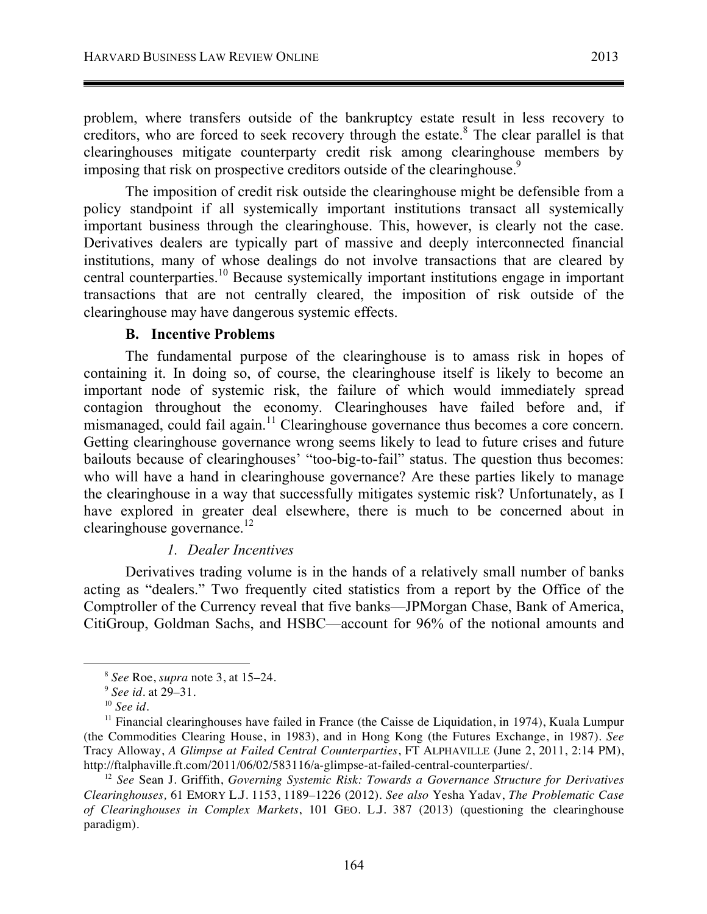problem, where transfers outside of the bankruptcy estate result in less recovery to creditors, who are forced to seek recovery through the estate.<sup>8</sup> The clear parallel is that clearinghouses mitigate counterparty credit risk among clearinghouse members by imposing that risk on prospective creditors outside of the clearinghouse.<sup>9</sup>

The imposition of credit risk outside the clearinghouse might be defensible from a policy standpoint if all systemically important institutions transact all systemically important business through the clearinghouse. This, however, is clearly not the case. Derivatives dealers are typically part of massive and deeply interconnected financial institutions, many of whose dealings do not involve transactions that are cleared by central counterparties.<sup>10</sup> Because systemically important institutions engage in important transactions that are not centrally cleared, the imposition of risk outside of the clearinghouse may have dangerous systemic effects.

#### **B. Incentive Problems**

The fundamental purpose of the clearinghouse is to amass risk in hopes of containing it. In doing so, of course, the clearinghouse itself is likely to become an important node of systemic risk, the failure of which would immediately spread contagion throughout the economy. Clearinghouses have failed before and, if mismanaged, could fail again.<sup>11</sup> Clearinghouse governance thus becomes a core concern. Getting clearinghouse governance wrong seems likely to lead to future crises and future bailouts because of clearinghouses' "too-big-to-fail" status. The question thus becomes: who will have a hand in clearinghouse governance? Are these parties likely to manage the clearinghouse in a way that successfully mitigates systemic risk? Unfortunately, as I have explored in greater deal elsewhere, there is much to be concerned about in clearinghouse governance.<sup>12</sup>

#### *1. Dealer Incentives*

Derivatives trading volume is in the hands of a relatively small number of banks acting as "dealers." Two frequently cited statistics from a report by the Office of the Comptroller of the Currency reveal that five banks—JPMorgan Chase, Bank of America, CitiGroup, Goldman Sachs, and HSBC—account for 96% of the notional amounts and

<sup>8</sup> *See* Roe, *supra* note 3, at 15–24.

<sup>9</sup> *See id.* at 29–31.

<sup>10</sup> *See id.*

 $11$  Financial clearinghouses have failed in France (the Caisse de Liquidation, in 1974), Kuala Lumpur (the Commodities Clearing House, in 1983), and in Hong Kong (the Futures Exchange, in 1987). *See* Tracy Alloway, *A Glimpse at Failed Central Counterparties*, FT ALPHAVILLE (June 2, 2011, 2:14 PM), http://ftalphaville.ft.com/2011/06/02/583116/a-glimpse-at-failed-central-counterparties/. 12 *See* Sean J. Griffith, *Governing Systemic Risk: Towards a Governance Structure for Derivatives* 

*Clearinghouses,* 61 EMORY L.J. 1153, 1189–1226 (2012). *See also* Yesha Yadav, *The Problematic Case of Clearinghouses in Complex Markets*, 101 GEO. L.J. 387 (2013) (questioning the clearinghouse paradigm).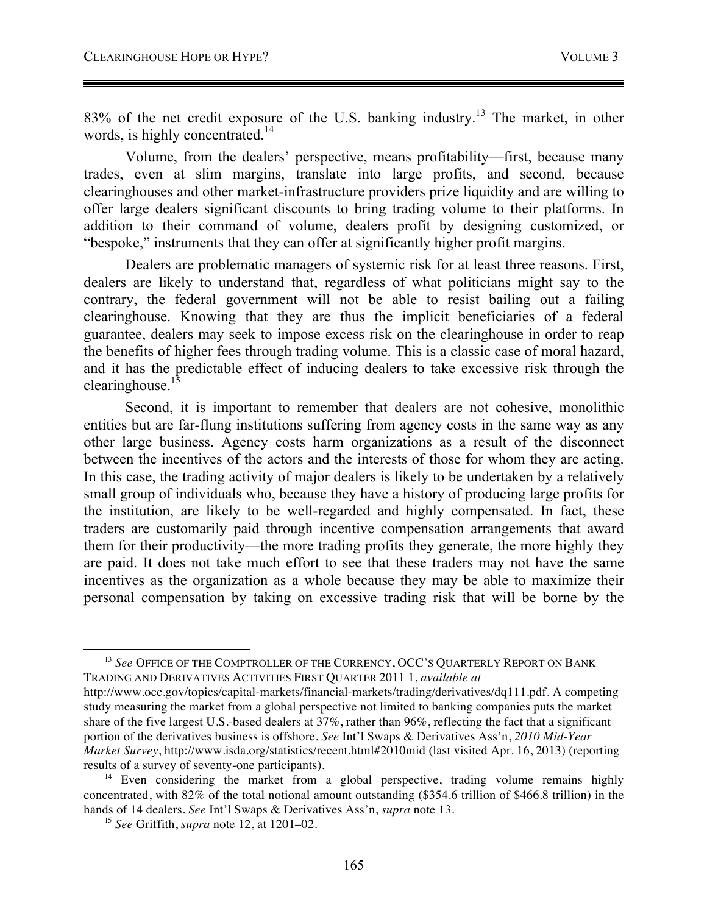83% of the net credit exposure of the U.S. banking industry.<sup>13</sup> The market, in other words, is highly concentrated.<sup>14</sup>

Volume, from the dealers' perspective, means profitability—first, because many trades, even at slim margins, translate into large profits, and second, because clearinghouses and other market-infrastructure providers prize liquidity and are willing to offer large dealers significant discounts to bring trading volume to their platforms. In addition to their command of volume, dealers profit by designing customized, or "bespoke," instruments that they can offer at significantly higher profit margins.

Dealers are problematic managers of systemic risk for at least three reasons. First, dealers are likely to understand that, regardless of what politicians might say to the contrary, the federal government will not be able to resist bailing out a failing clearinghouse. Knowing that they are thus the implicit beneficiaries of a federal guarantee, dealers may seek to impose excess risk on the clearinghouse in order to reap the benefits of higher fees through trading volume. This is a classic case of moral hazard, and it has the predictable effect of inducing dealers to take excessive risk through the clearinghouse. $15$ 

Second, it is important to remember that dealers are not cohesive, monolithic entities but are far-flung institutions suffering from agency costs in the same way as any other large business. Agency costs harm organizations as a result of the disconnect between the incentives of the actors and the interests of those for whom they are acting. In this case, the trading activity of major dealers is likely to be undertaken by a relatively small group of individuals who, because they have a history of producing large profits for the institution, are likely to be well-regarded and highly compensated. In fact, these traders are customarily paid through incentive compensation arrangements that award them for their productivity—the more trading profits they generate, the more highly they are paid. It does not take much effort to see that these traders may not have the same incentives as the organization as a whole because they may be able to maximize their personal compensation by taking on excessive trading risk that will be borne by the

<sup>13</sup> *See* OFFICE OF THE COMPTROLLER OF THE CURRENCY, OCC'S QUARTERLY REPORT ON BANK TRADING AND DERIVATIVES ACTIVITIES FIRST QUARTER 2011 1, *available at* http://www.occ.gov/topics/capital-markets/financial-markets/trading/derivatives/dq111.pdf. A competing study measuring the market from a global perspective not limited to banking companies puts the market share of the five largest U.S.-based dealers at 37%, rather than 96%, reflecting the fact that a significant portion of the derivatives business is offshore. *See* Int'l Swaps & Derivatives Ass'n, *2010 Mid-Year Market Survey*, http://www.isda.org/statistics/recent.html#2010mid (last visited Apr. 16, 2013) (reporting results of a survey of seventy-one participants).

<sup>&</sup>lt;sup>14</sup> Even considering the market from a global perspective, trading volume remains highly concentrated, with 82% of the total notional amount outstanding (\$354.6 trillion of \$466.8 trillion) in the hands of 14 dealers. *See* Int'l Swaps & Derivatives Ass'n, *supra* note 13. 15 *See* Griffith, *supra* note 12, at 1201–02.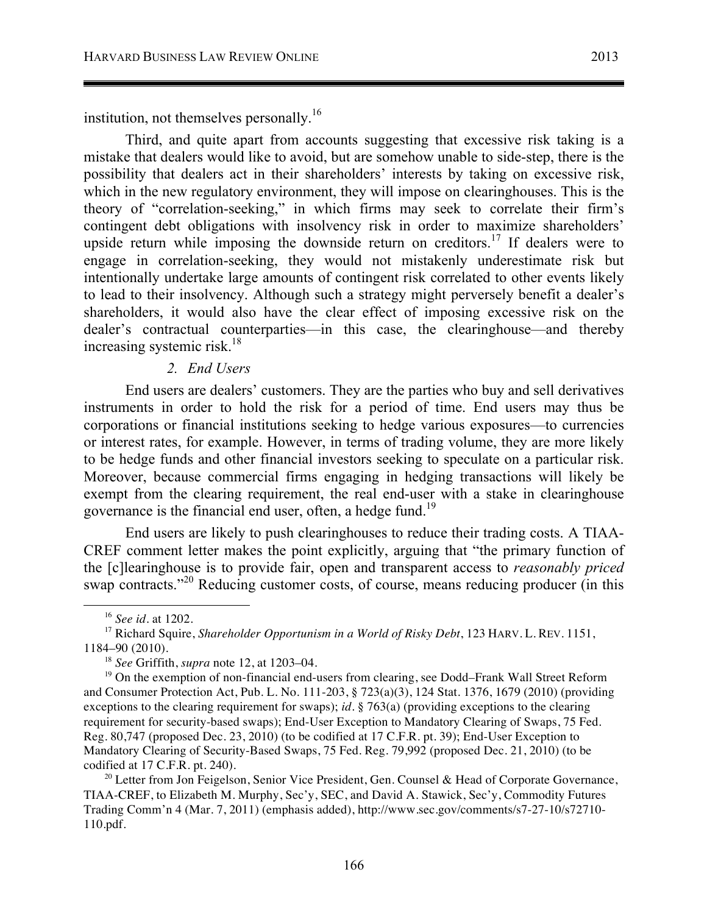institution, not themselves personally.16

Third, and quite apart from accounts suggesting that excessive risk taking is a mistake that dealers would like to avoid, but are somehow unable to side-step, there is the possibility that dealers act in their shareholders' interests by taking on excessive risk, which in the new regulatory environment, they will impose on clearinghouses. This is the theory of "correlation-seeking," in which firms may seek to correlate their firm's contingent debt obligations with insolvency risk in order to maximize shareholders' upside return while imposing the downside return on creditors.<sup>17</sup> If dealers were to engage in correlation-seeking, they would not mistakenly underestimate risk but intentionally undertake large amounts of contingent risk correlated to other events likely to lead to their insolvency. Although such a strategy might perversely benefit a dealer's shareholders, it would also have the clear effect of imposing excessive risk on the dealer's contractual counterparties—in this case, the clearinghouse—and thereby increasing systemic risk.<sup>18</sup>

## *2. End Users*

End users are dealers' customers. They are the parties who buy and sell derivatives instruments in order to hold the risk for a period of time. End users may thus be corporations or financial institutions seeking to hedge various exposures—to currencies or interest rates, for example. However, in terms of trading volume, they are more likely to be hedge funds and other financial investors seeking to speculate on a particular risk. Moreover, because commercial firms engaging in hedging transactions will likely be exempt from the clearing requirement, the real end-user with a stake in clearinghouse governance is the financial end user, often, a hedge fund.<sup>19</sup>

End users are likely to push clearinghouses to reduce their trading costs. A TIAA-CREF comment letter makes the point explicitly, arguing that "the primary function of the [c]learinghouse is to provide fair, open and transparent access to *reasonably priced* swap contracts."<sup>20</sup> Reducing customer costs, of course, means reducing producer (in this

<sup>16</sup> *See id.* at 1202.

<sup>&</sup>lt;sup>17</sup> Richard Squire, *Shareholder Opportunism in a World of Risky Debt*, 123 HARV. L. REV. 1151, 1184–90 (2010).

<sup>18</sup> *See* Griffith, *supra* note 12, at 1203–04.

 $19$  On the exemption of non-financial end-users from clearing, see Dodd–Frank Wall Street Reform and Consumer Protection Act, Pub. L. No. 111-203, § 723(a)(3), 124 Stat. 1376, 1679 (2010) (providing exceptions to the clearing requirement for swaps); *id.* § 763(a) (providing exceptions to the clearing requirement for security-based swaps); End-User Exception to Mandatory Clearing of Swaps, 75 Fed. Reg. 80,747 (proposed Dec. 23, 2010) (to be codified at 17 C.F.R. pt. 39); End-User Exception to Mandatory Clearing of Security-Based Swaps, 75 Fed. Reg. 79,992 (proposed Dec. 21, 2010) (to be codified at 17 C.F.R. pt. 240).

 $20$  Letter from Jon Feigelson, Senior Vice President, Gen. Counsel & Head of Corporate Governance, TIAA-CREF, to Elizabeth M. Murphy, Sec'y, SEC, and David A. Stawick, Sec'y, Commodity Futures Trading Comm'n 4 (Mar. 7, 2011) (emphasis added), http://www.sec.gov/comments/s7-27-10/s72710- 110.pdf.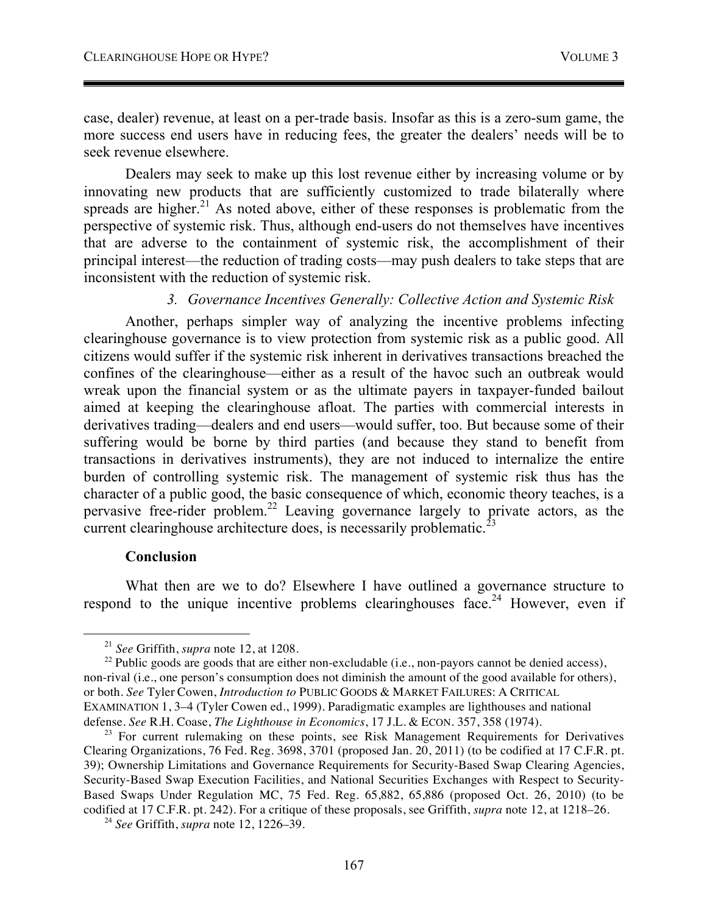case, dealer) revenue, at least on a per-trade basis. Insofar as this is a zero-sum game, the more success end users have in reducing fees, the greater the dealers' needs will be to seek revenue elsewhere.

Dealers may seek to make up this lost revenue either by increasing volume or by innovating new products that are sufficiently customized to trade bilaterally where spreads are higher.<sup>21</sup> As noted above, either of these responses is problematic from the perspective of systemic risk. Thus, although end-users do not themselves have incentives that are adverse to the containment of systemic risk, the accomplishment of their principal interest—the reduction of trading costs—may push dealers to take steps that are inconsistent with the reduction of systemic risk.

#### *3. Governance Incentives Generally: Collective Action and Systemic Risk*

Another, perhaps simpler way of analyzing the incentive problems infecting clearinghouse governance is to view protection from systemic risk as a public good. All citizens would suffer if the systemic risk inherent in derivatives transactions breached the confines of the clearinghouse—either as a result of the havoc such an outbreak would wreak upon the financial system or as the ultimate payers in taxpayer-funded bailout aimed at keeping the clearinghouse afloat. The parties with commercial interests in derivatives trading—dealers and end users—would suffer, too. But because some of their suffering would be borne by third parties (and because they stand to benefit from transactions in derivatives instruments), they are not induced to internalize the entire burden of controlling systemic risk. The management of systemic risk thus has the character of a public good, the basic consequence of which, economic theory teaches, is a pervasive free-rider problem.22 Leaving governance largely to private actors, as the current clearinghouse architecture does, is necessarily problematic.<sup>23</sup>

#### **Conclusion**

What then are we to do? Elsewhere I have outlined a governance structure to respond to the unique incentive problems clearinghouses face.<sup>24</sup> However, even if

 $^{22}$  Public goods are goods that are either non-excludable (i.e., non-payors cannot be denied access), non-rival (i.e., one person's consumption does not diminish the amount of the good available for others), or both. *See* Tyler Cowen, *Introduction to* PUBLIC GOODS & MARKET FAILURES: A CRITICAL EXAMINATION 1, 3–4 (Tyler Cowen ed., 1999). Paradigmatic examples are lighthouses and national defense. *See* R.H. Coase, *The Lighthouse in Economics*, 17 J.L. & ECON. 357, 358 (1974).

 <sup>21</sup> *See* Griffith, *supra* note 12, at 1208.

 $23$  For current rulemaking on these points, see Risk Management Requirements for Derivatives Clearing Organizations, 76 Fed. Reg. 3698, 3701 (proposed Jan. 20, 2011) (to be codified at 17 C.F.R. pt. 39); Ownership Limitations and Governance Requirements for Security-Based Swap Clearing Agencies, Security-Based Swap Execution Facilities, and National Securities Exchanges with Respect to Security-Based Swaps Under Regulation MC, 75 Fed. Reg. 65,882, 65,886 (proposed Oct. 26, 2010) (to be codified at 17 C.F.R. pt. 242). For a critique of these proposals, see Griffith, *supra* note 12, at 1218–26.

<sup>24</sup> *See* Griffith, *supra* note 12, 1226–39.